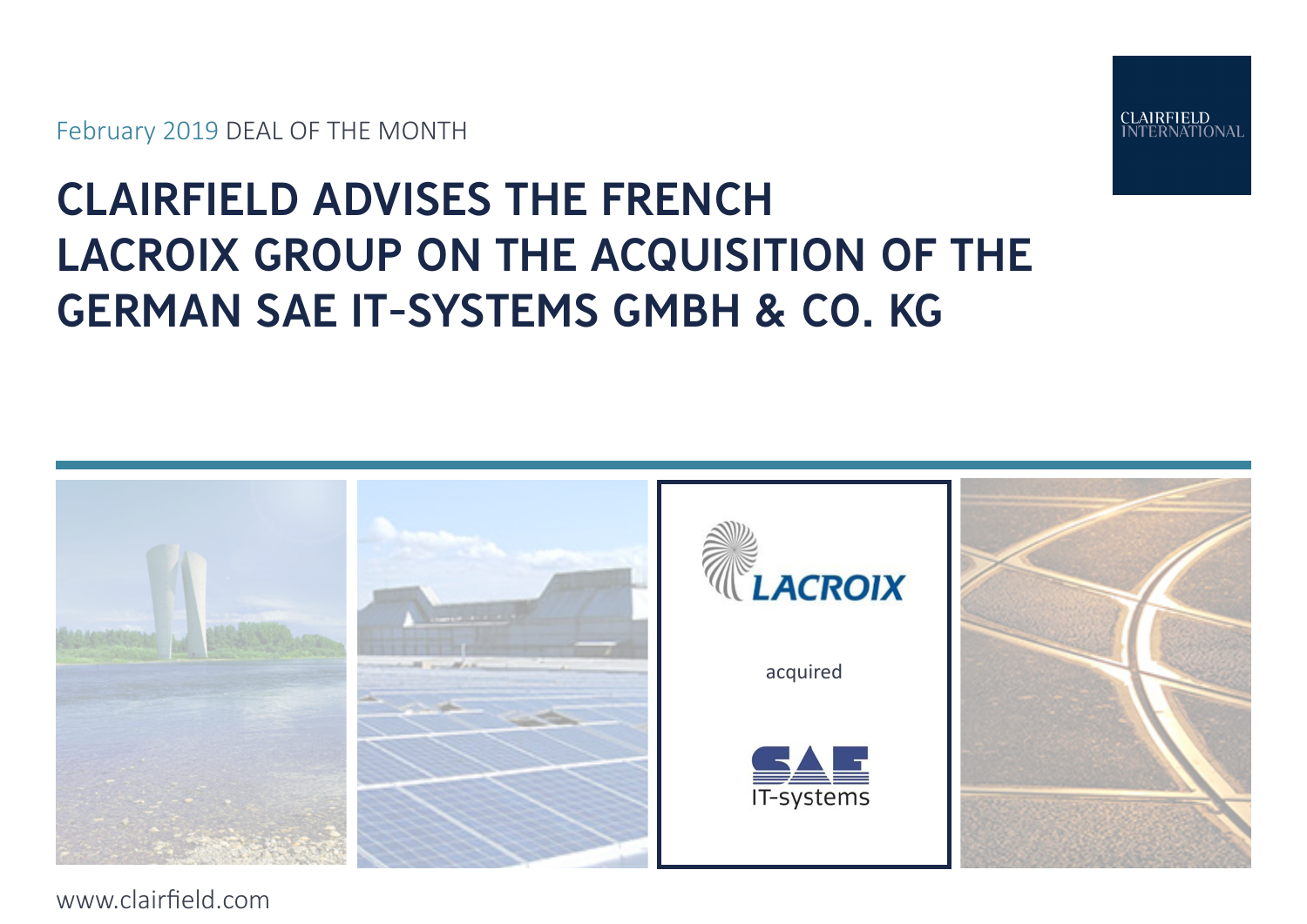February 2019 DEAL OF THE MONTH



# CLAIRFIELD ADVISES THE FRENCH LACROIX GROUP ON THE ACQUISITION OF THE GERMAN SAE IT-SYSTEMS GMBH & CO. KG



www.clairfield.com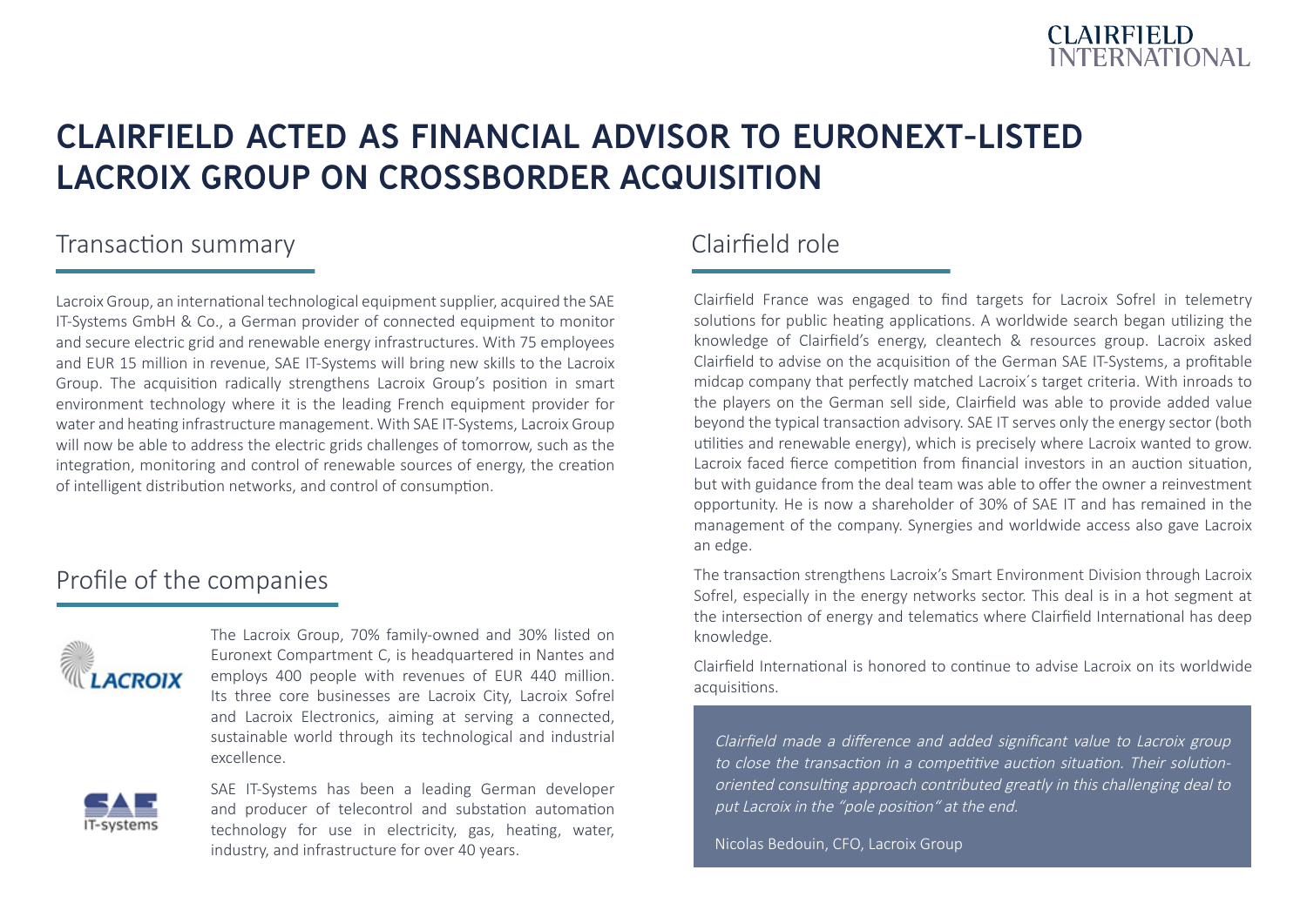

# CLAIRFIELD ACTED AS FINANCIAL ADVISOR TO EURONEXT-LISTED LACROIX GROUP ON CROSSBORDER ACQUISITION

### Transaction summary

Lacroix Group, an international technological equipment supplier, acquired the SAE IT-Systems GmbH & Co., a German provider of connected equipment to monitor and secure electric grid and renewable energy infrastructures. With 75 employees and EUR 15 million in revenue, SAE IT-Systems will bring new skills to the Lacroix Group. The acquisition radically strengthens Lacroix Group's position in smart environment technology where it is the leading French equipment provider for water and heating infrastructure management. With SAE IT-Systems, Lacroix Group will now be able to address the electric grids challenges of tomorrow, such as the integration, monitoring and control of renewable sources of energy, the creation of intelligent distribution networks, and control of consumption.

### Profile of the companies



The Lacroix Group, 70% family-owned and 30% listed on Euronext Compartment C, is headquartered in Nantes and employs 400 people with revenues of EUR 440 million. Its three core businesses are Lacroix City, Lacroix Sofrel and Lacroix Electronics, aiming at serving a connected, sustainable world through its technological and industrial excellence.



SAE IT-Systems has been a leading German developer and producer of telecontrol and substation automation technology for use in electricity, gas, heating, water, industry, and infrastructure for over 40 years.

# Clairfield role

Clairfield France was engaged to find targets for Lacroix Sofrel in telemetry solutions for public heating applications. A worldwide search began utilizing the knowledge of Clairfield's energy, cleantech & resources group. Lacroix asked Clairfield to advise on the acquisition of the German SAE IT-Systems, a profitable midcap company that perfectly matched Lacroix´s target criteria. With inroads to the players on the German sell side, Clairfield was able to provide added value beyond the typical transaction advisory. SAE IT serves only the energy sector (both utilities and renewable energy), which is precisely where Lacroix wanted to grow. Lacroix faced fierce competition from financial investors in an auction situation, but with guidance from the deal team was able to offer the owner a reinvestment opportunity. He is now a shareholder of 30% of SAE IT and has remained in the management of the company. Synergies and worldwide access also gave Lacroix an edge.

The transaction strengthens Lacroix's Smart Environment Division through Lacroix Sofrel, especially in the energy networks sector. This deal is in a hot segment at the intersection of energy and telematics where Clairfield International has deep knowledge.

Clairfield International is honored to continue to advise Lacroix on its worldwide acquisitions.

Clairfield made a difference and added significant value to Lacroix group to close the transaction in a competitive auction situation. Their solutionoriented consulting approach contributed greatly in this challenging deal to put Lacroix in the "pole position" at the end.

Nicolas Bedouin, CFO, Lacroix Group